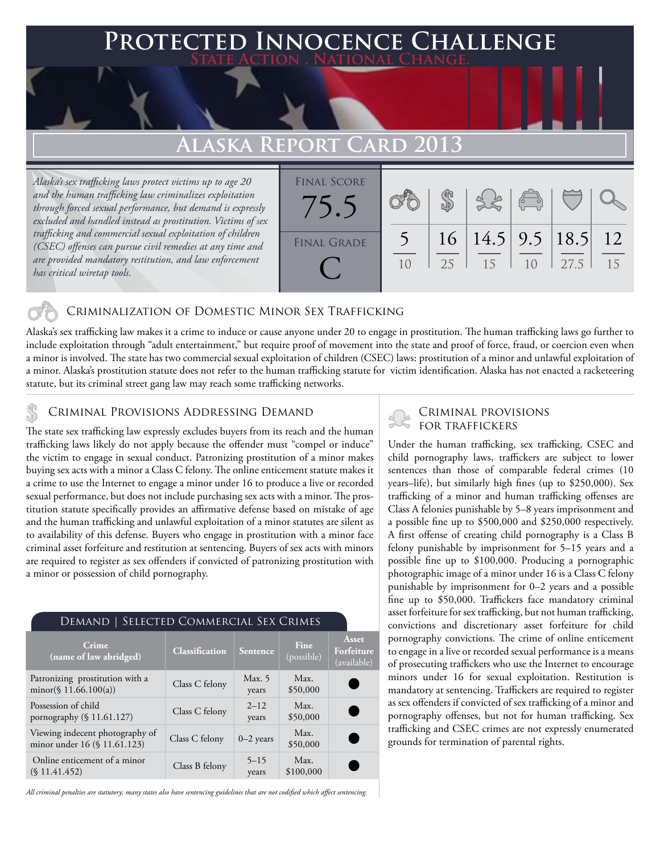## **FD INNOCENCE CHALLENGE State Action . National Change.**

# **Alaska Report Card 2013**

*Alaska's sex trafficking laws protect victims up to age 20 and the human trafficking law criminalizes exploitation through forced sexual performance, but demand is expressly excluded and handled instead as prostitution. Victims of sex trafficking and commercial sexual exploitation of children (CSEC) offenses can pursue civil remedies at any time and are provided mandatory restitution, and law enforcement has critical wiretap tools.*



## Criminalization of Domestic Minor Sex Trafficking

Alaska's sex trafficking law makes it a crime to induce or cause anyone under 20 to engage in prostitution. The human trafficking laws go further to include exploitation through "adult entertainment," but require proof of movement into the state and proof of force, fraud, or coercion even when a minor is involved. The state has two commercial sexual exploitation of children (CSEC) laws: prostitution of a minor and unlawful exploitation of a minor. Alaska's prostitution statute does not refer to the human trafficking statute for victim identification. Alaska has not enacted a racketeering statute, but its criminal street gang law may reach some trafficking networks.

# CRIMINAL PROVISIONS ADDRESSING DEMAND<br>The state on trafficking law averagely avaludes buyers from its reach and the buman FOR TRAFFICKERS

The state sex trafficking law expressly excludes buyers from its reach and the human trafficking laws likely do not apply because the offender must "compel or induce" the victim to engage in sexual conduct. Patronizing prostitution of a minor makes buying sex acts with a minor a Class C felony. The online enticement statute makes it a crime to use the Internet to engage a minor under 16 to produce a live or recorded sexual performance, but does not include purchasing sex acts with a minor. The prostitution statute specifically provides an affirmative defense based on mistake of age and the human trafficking and unlawful exploitation of a minor statutes are silent as to availability of this defense. Buyers who engage in prostitution with a minor face criminal asset forfeiture and restitution at sentencing. Buyers of sex acts with minors are required to register as sex offenders if convicted of patronizing prostitution with a minor or possession of child pornography.

| DEMAND   SELECTED COMMERCIAL SEX CRIMES                         |                       |                   |                    |                                           |
|-----------------------------------------------------------------|-----------------------|-------------------|--------------------|-------------------------------------------|
| Crime<br>(name of law abridged)                                 | <b>Classification</b> | <b>Sentence</b>   | Fine<br>(possible) | <b>Asset</b><br>Forfeiture<br>(available) |
| Patronizing prostitution with a<br>minor(§ 11.66.100(a))        | Class C felony        | Max. 5<br>years   | Max.<br>\$50,000   |                                           |
| Possession of child<br>pornography $(\S 11.61.127)$             | Class C felony        | $2 - 12$<br>years | Max.<br>\$50,000   | $\epsilon$                                |
| Viewing indecent photography of<br>minor under 16 (§ 11.61.123) | Class C felony        | $0-2$ years       | Max.<br>\$50,000   | $\sqrt{2}$                                |
| Online enticement of a minor<br>(S11.41.452)                    | Class B felony        | $5 - 15$<br>years | Max.<br>\$100,000  |                                           |

*All criminal penalties are statutory; many states also have sentencing guidelines that are not codified which affect sentencing.* 

Under the human trafficking, sex trafficking, CSEC and child pornography laws, traffickers are subject to lower sentences than those of comparable federal crimes (10 years–life), but similarly high fines (up to \$250,000). Sex trafficking of a minor and human trafficking offenses are Class A felonies punishable by 5–8 years imprisonment and a possible fine up to \$500,000 and \$250,000 respectively. A first offense of creating child pornography is a Class B felony punishable by imprisonment for 5–15 years and a possible fine up to \$100,000. Producing a pornographic photographic image of a minor under 16 is a Class C felony punishable by imprisonment for 0–2 years and a possible fine up to \$50,000. Traffickers face mandatory criminal asset forfeiture for sex trafficking, but not human trafficking, convictions and discretionary asset forfeiture for child pornography convictions. The crime of online enticement to engage in a live or recorded sexual performance is a means of prosecuting traffickers who use the Internet to encourage minors under 16 for sexual exploitation. Restitution is mandatory at sentencing. Traffickers are required to register as sex offenders if convicted of sex trafficking of a minor and pornography offenses, but not for human trafficking. Sex trafficking and CSEC crimes are not expressly enumerated grounds for termination of parental rights.